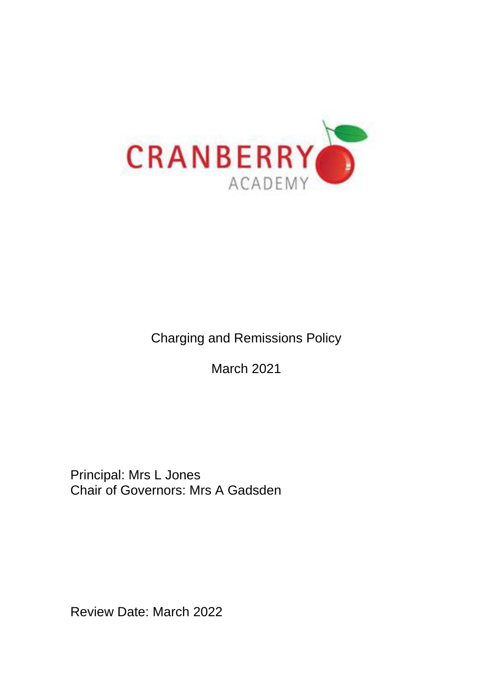

Charging and Remissions Policy

March 2021

Principal: Mrs L Jones Chair of Governors: Mrs A Gadsden

Review Date: March 2022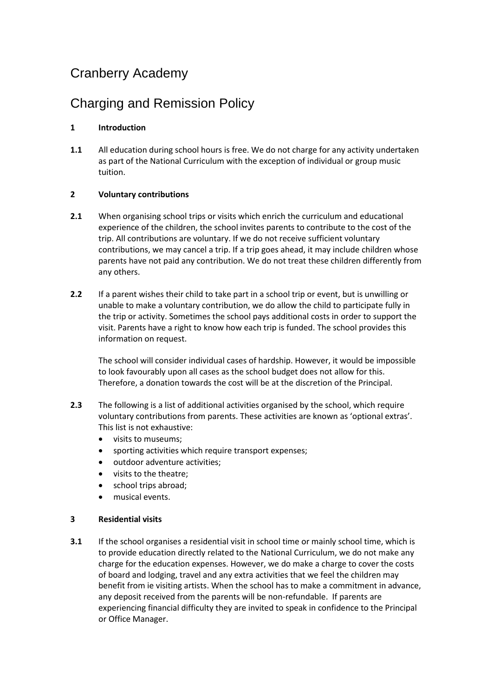# Cranberry Academy

## Charging and Remission Policy

### **1 Introduction**

**1.1** All education during school hours is free. We do not charge for any activity undertaken as part of the National Curriculum with the exception of individual or group music tuition.

#### **2 Voluntary contributions**

- **2.1** When organising school trips or visits which enrich the curriculum and educational experience of the children, the school invites parents to contribute to the cost of the trip. All contributions are voluntary. If we do not receive sufficient voluntary contributions, we may cancel a trip. If a trip goes ahead, it may include children whose parents have not paid any contribution. We do not treat these children differently from any others.
- **2.2** If a parent wishes their child to take part in a school trip or event, but is unwilling or unable to make a voluntary contribution, we do allow the child to participate fully in the trip or activity. Sometimes the school pays additional costs in order to support the visit. Parents have a right to know how each trip is funded. The school provides this information on request.

The school will consider individual cases of hardship. However, it would be impossible to look favourably upon all cases as the school budget does not allow for this. Therefore, a donation towards the cost will be at the discretion of the Principal.

- **2.3** The following is a list of additional activities organised by the school, which require voluntary contributions from parents. These activities are known as 'optional extras'. This list is not exhaustive:
	- visits to museums;
	- sporting activities which require transport expenses;
	- outdoor adventure activities;
	- visits to the theatre;
	- school trips abroad;
	- musical events.

#### **3 Residential visits**

**3.1** If the school organises a residential visit in school time or mainly school time, which is to provide education directly related to the National Curriculum, we do not make any charge for the education expenses. However, we do make a charge to cover the costs of board and lodging, travel and any extra activities that we feel the children may benefit from ie visiting artists. When the school has to make a commitment in advance, any deposit received from the parents will be non-refundable. If parents are experiencing financial difficulty they are invited to speak in confidence to the Principal or Office Manager.